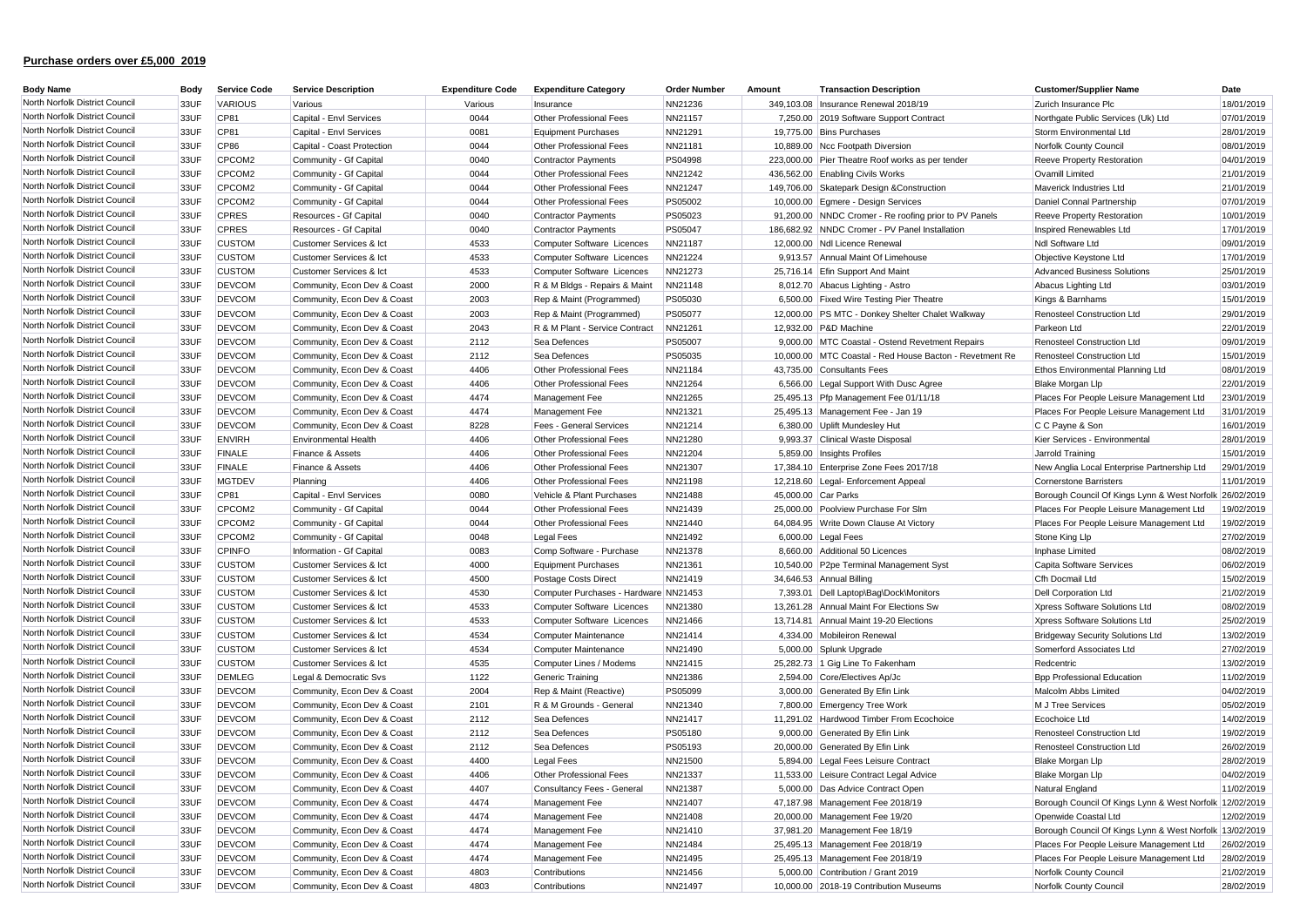| <b>Body Name</b>               | Body | <b>Service Code</b> | <b>Service Description</b>  | <b>Expenditure Code</b> | <b>Expenditure Category</b>           | <b>Order Number</b> | Amount              | <b>Transaction Description</b>                          | <b>Customer/Supplier Name</b>                           | Date       |
|--------------------------------|------|---------------------|-----------------------------|-------------------------|---------------------------------------|---------------------|---------------------|---------------------------------------------------------|---------------------------------------------------------|------------|
| North Norfolk District Council | 33UF | <b>VARIOUS</b>      | Various                     | Various                 | Insurance                             | NN21236             |                     | 349,103.08   Insurance Renewal 2018/19                  | Zurich Insurance Plc                                    | 18/01/2019 |
| North Norfolk District Council | 33UF | CP81                | Capital - Envl Services     | 0044                    | Other Professional Fees               | NN21157             |                     | 7,250.00 2019 Software Support Contract                 | Northgate Public Services (Uk) Ltd                      | 07/01/2019 |
| North Norfolk District Council | 33UF | CP81                | Capital - Envl Services     | 0081                    | Equipment Purchases                   | NN21291             |                     | 19,775.00 Bins Purchases                                | Storm Environmental Ltd                                 | 28/01/2019 |
| North Norfolk District Council | 33UF | <b>CP86</b>         | Capital - Coast Protection  | 0044                    | Other Professional Fees               | NN21181             |                     | 10,889.00 Ncc Footpath Diversion                        | Norfolk County Council                                  | 08/01/2019 |
| North Norfolk District Council | 33UF | CPCOM2              | Community - Gf Capital      | 0040                    | <b>Contractor Payments</b>            | PS04998             |                     | 223,000.00 Pier Theatre Roof works as per tender        | <b>Reeve Property Restoration</b>                       | 04/01/2019 |
| North Norfolk District Council | 33UF | CPCOM2              | Community - Gf Capital      | 0044                    | Other Professional Fees               | NN21242             |                     | 436,562.00 Enabling Civils Works                        | Ovamill Limited                                         | 21/01/2019 |
| North Norfolk District Council | 33UF | CPCOM2              | Community - Gf Capital      | 0044                    | Other Professional Fees               | NN21247             |                     | 149,706.00 Skatepark Design & Construction              | Maverick Industries Ltd                                 | 21/01/2019 |
| North Norfolk District Council | 33UF | CPCOM2              | Community - Gf Capital      | 0044                    | Other Professional Fees               | PS05002             |                     | 10,000.00 Eqmere - Design Services                      | Daniel Connal Partnership                               | 07/01/2019 |
| North Norfolk District Council | 33UF | <b>CPRES</b>        | Resources - Gf Capital      | 0040                    | <b>Contractor Payments</b>            | PS05023             |                     | 91,200.00 NNDC Cromer - Re roofing prior to PV Panels   | <b>Reeve Property Restoration</b>                       | 10/01/2019 |
| North Norfolk District Council | 33UF | <b>CPRES</b>        | Resources - Gf Capital      | 0040                    | Contractor Payments                   | PS05047             |                     | 186,682.92 NNDC Cromer - PV Panel Installation          | Inspired Renewables Ltd                                 | 17/01/2019 |
| North Norfolk District Council | 33UF | <b>CUSTOM</b>       | Customer Services & Ict     | 4533                    | Computer Software Licences            | NN21187             |                     | 12,000.00 Ndl Licence Renewal                           | Ndl Software Ltd                                        | 09/01/2019 |
| North Norfolk District Council | 33UF | <b>CUSTOM</b>       | Customer Services & Ict     | 4533                    | Computer Software Licences            | NN21224             |                     | 9,913.57 Annual Maint Of Limehouse                      | Objective Keystone Ltd                                  | 17/01/2019 |
| North Norfolk District Council | 33UF | <b>CUSTOM</b>       | Customer Services & Ict     | 4533                    | Computer Software Licences            | NN21273             |                     | 25,716.14 Efin Support And Main                         | <b>Advanced Business Solutions</b>                      | 25/01/2019 |
| North Norfolk District Council | 33UF | <b>DEVCOM</b>       | Community, Econ Dev & Coast | 2000                    | R & M Bldgs - Repairs & Maint         | NN21148             |                     | 8,012.70 Abacus Lighting - Astro                        | Abacus Lighting Ltd                                     | 03/01/2019 |
| North Norfolk District Council | 33UF | <b>DEVCOM</b>       | Community, Econ Dev & Coast | 2003                    | Rep & Maint (Programmed)              | PS05030             |                     | 6,500.00 Fixed Wire Testing Pier Theatre                | Kings & Barnhams                                        | 15/01/2019 |
| North Norfolk District Council | 33UF | <b>DEVCOM</b>       | Community, Econ Dev & Coast | 2003                    | Rep & Maint (Programmed)              | PS05077             |                     | 12,000.00 PS MTC - Donkey Shelter Chalet Walkway        | Renosteel Construction Ltd                              | 29/01/2019 |
| North Norfolk District Council | 33UF | <b>DEVCOM</b>       | Community, Econ Dev & Coast | 2043                    | R & M Plant - Service Contract        | NN21261             |                     | 12,932.00 P&D Machine                                   | Parkeon Ltd                                             | 22/01/2019 |
| North Norfolk District Council | 33UF | <b>DEVCOM</b>       | Community, Econ Dev & Coast | 2112                    | Sea Defences                          | PS05007             |                     | 9,000.00 MTC Coastal - Ostend Revetment Repairs         | Renosteel Construction Ltd                              | 09/01/2019 |
| North Norfolk District Council | 33UF | <b>DEVCOM</b>       | Community, Econ Dev & Coast | 2112                    | Sea Defences                          | PS05035             |                     | 10,000.00 MTC Coastal - Red House Bacton - Revetment Re | Renosteel Construction Ltd                              | 15/01/2019 |
| North Norfolk District Council | 33UF | <b>DEVCOM</b>       | Community, Econ Dev & Coast | 4406                    | Other Professional Fees               | NN21184             |                     | 43,735.00 Consultants Fees                              | Ethos Environmental Planning Ltd                        | 08/01/2019 |
| North Norfolk District Council | 33UF | <b>DEVCOM</b>       | Community, Econ Dev & Coast | 4406                    | Other Professional Fees               | NN21264             |                     | 6,566.00 Legal Support With Dusc Agree                  | <b>Blake Morgan Llp</b>                                 | 22/01/2019 |
| North Norfolk District Council | 33UF | <b>DEVCOM</b>       | Community, Econ Dev & Coast | 4474                    | Management Fee                        | NN21265             |                     | 25,495.13 Pfp Management Fee 01/11/18                   | Places For People Leisure Management Ltd                | 23/01/2019 |
| North Norfolk District Council | 33UF | <b>DEVCOM</b>       | Community, Econ Dev & Coast | 4474                    | Management Fee                        | NN21321             |                     | 25,495.13 Management Fee - Jan 19                       | Places For People Leisure Management Ltd                | 31/01/2019 |
| North Norfolk District Council | 33UF | <b>DEVCOM</b>       | Community, Econ Dev & Coast | 8228                    | <b>Fees - General Services</b>        | NN21214             |                     | 6,380.00 Uplift Mundesley Hut                           | C C Payne & Son                                         | 16/01/2019 |
| North Norfolk District Council | 33UF | <b>ENVIRH</b>       | <b>Environmental Health</b> | 4406                    | Other Professional Fees               | NN21280             |                     | 9,993.37 Clinical Waste Disposal                        | Kier Services - Environmental                           | 28/01/2019 |
| North Norfolk District Council | 33UF | <b>FINALE</b>       | Finance & Assets            | 4406                    | Other Professional Fees               | NN21204             |                     | 5,859.00 Insights Profiles                              | Jarrold Training                                        | 15/01/2019 |
| North Norfolk District Council | 33UF | <b>FINALE</b>       | Finance & Assets            | 4406                    | Other Professional Fees               | NN21307             |                     | 17,384.10 Enterprise Zone Fees 2017/18                  | New Anglia Local Enterprise Partnership Ltd             | 29/01/2019 |
| North Norfolk District Council | 33UF | <b>MGTDEV</b>       | Planning                    | 4406                    | Other Professional Fees               | NN21198             |                     | 12,218.60 Legal- Enforcement Appeal                     | Cornerstone Barristers                                  | 11/01/2019 |
| North Norfolk District Council | 33UF | <b>CP81</b>         | Capital - Envl Services     | 0080                    | Vehicle & Plant Purchases             | NN21488             | 45,000.00 Car Parks |                                                         | Borough Council Of Kings Lynn & West Norfolk 26/02/2019 |            |
| North Norfolk District Council | 33UF | CPCOM2              | Community - Gf Capital      | 0044                    | Other Professional Fees               | NN21439             |                     | 25,000.00 Poolview Purchase For Slm                     | Places For People Leisure Management Ltd                | 19/02/2019 |
| North Norfolk District Council | 33UF | CPCOM2              | Community - Gf Capital      | 0044                    | Other Professional Fees               | NN21440             |                     | 64,084.95 Write Down Clause At Victory                  | Places For People Leisure Management Ltd                | 19/02/2019 |
| North Norfolk District Council | 33UF | CPCOM2              | Community - Gf Capital      | 0048                    | Legal Fees                            | NN21492             |                     | 6,000.00 Legal Fees                                     | Stone King Llp                                          | 27/02/2019 |
| North Norfolk District Council | 33UF | <b>CPINFO</b>       | Information - Gf Capital    | 0083                    | Comp Software - Purchase              | NN21378             |                     | 8,660.00 Additional 50 Licences                         | Inphase Limited                                         | 08/02/2019 |
| North Norfolk District Council | 33UF | <b>CUSTOM</b>       | Customer Services & Ict     | 4000                    | Equipment Purchases                   | NN21361             |                     | 10,540.00 P2pe Terminal Management Syst                 | Capita Software Services                                | 06/02/2019 |
| North Norfolk District Council | 33UF | <b>CUSTOM</b>       | Customer Services & Ict     | 4500                    | Postage Costs Direct                  | NN21419             |                     | 34,646.53 Annual Billing                                | Cfh Docmail Ltd                                         | 15/02/2019 |
| North Norfolk District Council | 33UF | <b>CUSTOM</b>       | Customer Services & Ict     | 4530                    | Computer Purchases - Hardware NN21453 |                     |                     | 7,393.01 Dell Laptop\Bag\Dock\Monitors                  | Dell Corporation Ltd                                    | 21/02/2019 |
| North Norfolk District Council | 33UF | <b>CUSTOM</b>       | Customer Services & Ict     | 4533                    | Computer Software Licences            | NN21380             |                     | 13,261.28 Annual Maint For Elections Sw                 | Xpress Software Solutions Ltd                           | 08/02/2019 |
| North Norfolk District Council | 33UF | <b>CUSTOM</b>       | Customer Services & Ict     | 4533                    | Computer Software Licences            | NN21466             |                     | 13.714.81 Annual Maint 19-20 Elections                  | Xpress Software Solutions Ltd                           | 25/02/2019 |
| North Norfolk District Council | 33UF | <b>CUSTOM</b>       | Customer Services & Ict     | 4534                    | Computer Maintenance                  | NN21414             |                     | 4,334.00 Mobileiron Renewal                             | <b>Bridgeway Security Solutions Ltd</b>                 | 13/02/2019 |
| North Norfolk District Council | 33UF | <b>CUSTOM</b>       | Customer Services & Ict     | 4534                    | Computer Maintenance                  | NN21490             |                     | 5,000.00 Splunk Upgrade                                 | Somerford Associates Ltd                                | 27/02/2019 |
| North Norfolk District Council | 33UF | <b>CUSTOM</b>       | Customer Services & Ict     | 4535                    | Computer Lines / Modems               | NN21415             |                     | 25,282.73 1 Gig Line To Fakenham                        | Redcentric                                              | 13/02/2019 |
| North Norfolk District Council | 33UF | <b>DEMLEG</b>       | Legal & Democratic Svs      | 1122                    | Generic Training                      | NN21386             |                     | 2,594.00 Core/Electives Ap/Jo                           | <b>Bpp Professional Education</b>                       | 11/02/2019 |
| North Norfolk District Council | 33UF | <b>DEVCOM</b>       | Community, Econ Dev & Coast | 2004                    | Rep & Maint (Reactive)                | PS05099             |                     | 3,000.00 Generated By Efin Link                         | Malcolm Abbs Limited                                    | 04/02/2019 |
| North Norfolk District Council | 33UF | <b>DEVCOM</b>       | Community, Econ Dev & Coast | 2101                    | R & M Grounds - General               | NN21340             |                     | 7,800.00 Emergency Tree Work                            | M J Tree Services                                       | 05/02/2019 |
| North Norfolk District Council | 33UF | <b>DEVCOM</b>       | Community, Econ Dev & Coast | 2112                    | Sea Defences                          | NN21417             |                     | 11,291.02 Hardwood Timber From Ecochoice                | Ecochoice Ltd                                           | 14/02/2019 |
| North Norfolk District Council | 33UF | <b>DEVCOM</b>       | Community, Econ Dev & Coast | 2112                    | Sea Defences                          | PS05180             |                     | 9,000.00 Generated By Efin Link                         | Renosteel Construction Ltd                              | 19/02/2019 |
| North Norfolk District Council | 33UF | <b>DEVCOM</b>       | Community, Econ Dev & Coast | 2112                    | Sea Defences                          | PS05193             |                     | 20,000.00 Generated By Efin Link                        | Renosteel Construction Ltd                              | 26/02/2019 |
| North Norfolk District Council | 33UF | <b>DEVCOM</b>       | Community, Econ Dev & Coast | 4400                    | <b>Legal Fees</b>                     | NN21500             |                     | 5,894.00 Legal Fees Leisure Contract                    | <b>Blake Morgan Llp</b>                                 | 28/02/2019 |
| North Norfolk District Council | 33UF | <b>DEVCOM</b>       | Community, Econ Dev & Coast | 4406                    | Other Professional Fees               | NN21337             |                     | 11,533.00 Leisure Contract Legal Advice                 | <b>Blake Morgan Llp</b>                                 | 04/02/2019 |
| North Norfolk District Council | 33UF | <b>DEVCOM</b>       | Community, Econ Dev & Coast | 4407                    | Consultancy Fees - General            | NN21387             |                     | 5,000.00 Das Advice Contract Open                       | Natural England                                         | 11/02/2019 |
| North Norfolk District Council | 33UF | <b>DEVCOM</b>       | Community, Econ Dev & Coast | 4474                    | Management Fee                        | NN21407             |                     | 47,187.98 Management Fee 2018/19                        | Borough Council Of Kings Lynn & West Norfolk 12/02/2019 |            |
| North Norfolk District Council | 33UF | <b>DEVCOM</b>       | Community, Econ Dev & Coast | 4474                    | Management Fee                        | NN21408             |                     | 20,000.00 Management Fee 19/20                          | Openwide Coastal Ltd                                    | 12/02/2019 |
| North Norfolk District Council | 33UF | <b>DEVCOM</b>       | Community, Econ Dev & Coast | 4474                    | Management Fee                        | NN21410             |                     | 37,981.20 Management Fee 18/19                          | Borough Council Of Kings Lynn & West Norfolk 13/02/2019 |            |
| North Norfolk District Council | 33UF | <b>DEVCOM</b>       | Community, Econ Dev & Coast | 4474                    | Management Fee                        | NN21484             |                     | 25,495.13 Management Fee 2018/19                        | Places For People Leisure Management Ltd                | 26/02/2019 |
| North Norfolk District Council | 33UF | <b>DEVCOM</b>       | Community, Econ Dev & Coast | 4474                    | Management Fee                        | NN21495             |                     | 25,495.13 Management Fee 2018/19                        | Places For People Leisure Management Ltd                | 28/02/2019 |
| North Norfolk District Council | 33UF | <b>DEVCOM</b>       | Community, Econ Dev & Coast | 4803                    | Contributions                         | NN21456             |                     | 5.000.00 Contribution / Grant 2019                      | Norfolk County Council                                  | 21/02/2019 |
| North Norfolk District Council | 33UF | <b>DEVCOM</b>       | Community, Econ Dev & Coast | 4803                    | Contributions                         | NN21497             |                     | 10,000,00 2018-19 Contribution Museums                  | Norfolk County Council                                  | 28/02/2019 |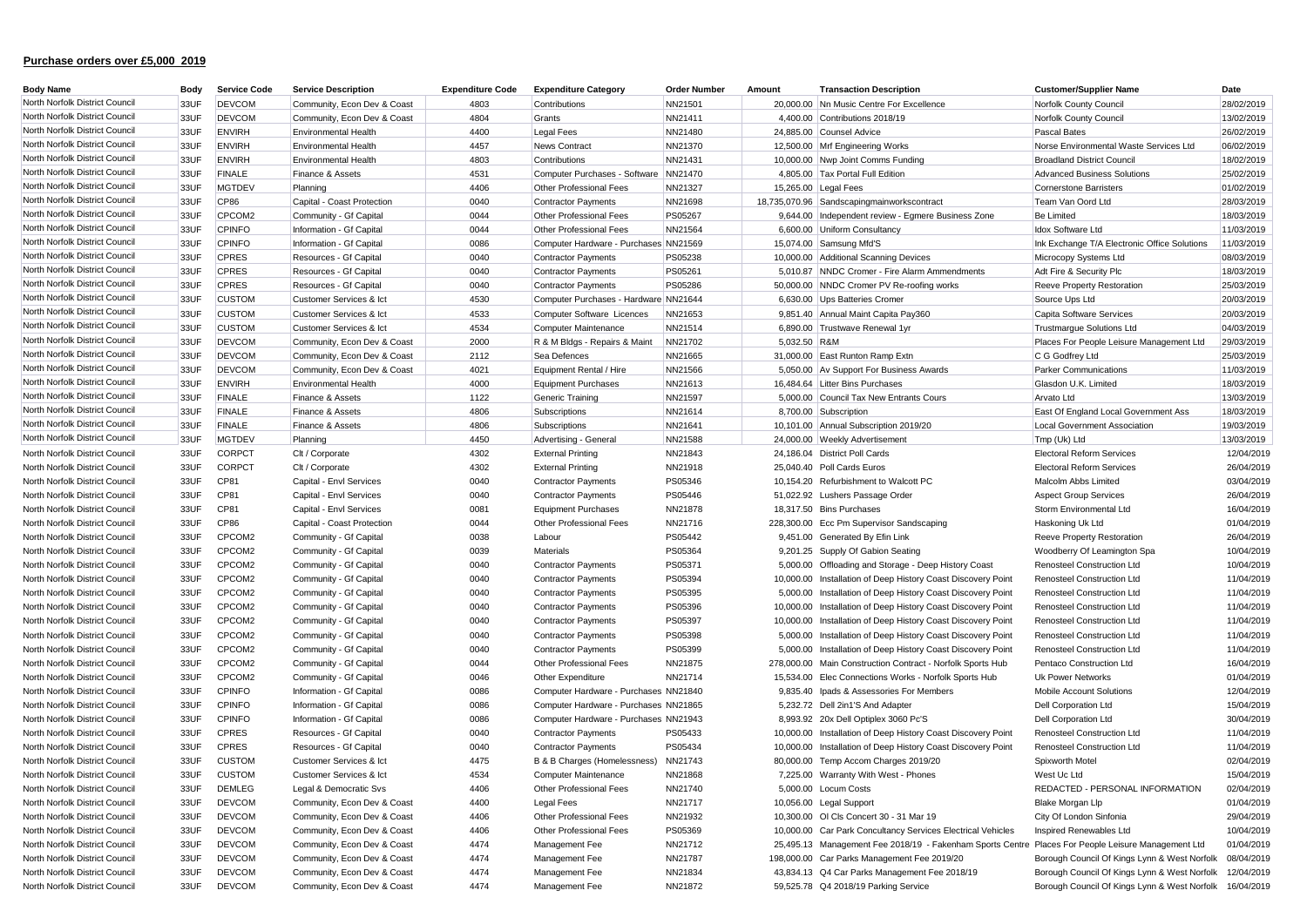| <b>Body Name</b>               | Body | <b>Service Code</b> | <b>Service Description</b>  | <b>Expenditure Code</b> | <b>Expenditure Category</b>           | <b>Order Number</b> | Amount       | <b>Transaction Description</b>                               | <b>Customer/Supplier Name</b>                           | Date       |
|--------------------------------|------|---------------------|-----------------------------|-------------------------|---------------------------------------|---------------------|--------------|--------------------------------------------------------------|---------------------------------------------------------|------------|
| North Norfolk District Council | 33UF | <b>DEVCOM</b>       | Community, Econ Dev & Coast | 4803                    | Contributions                         | NN21501             |              | 20,000.00 Nn Music Centre For Excellence                     | Norfolk County Council                                  | 28/02/2019 |
| North Norfolk District Council | 33UF | <b>DEVCOM</b>       | Community, Econ Dev & Coast | 4804                    | Grants                                | NN21411             |              | 4,400.00 Contributions 2018/19                               | Norfolk County Council                                  | 13/02/2019 |
| North Norfolk District Council | 33UF | <b>ENVIRH</b>       | <b>Environmental Health</b> | 4400                    | <b>Legal Fees</b>                     | NN21480             |              | 24,885.00 Counsel Advice                                     | <b>Pascal Bates</b>                                     | 26/02/2019 |
| North Norfolk District Council | 33UF | <b>ENVIRH</b>       | <b>Environmental Health</b> | 4457                    | <b>News Contract</b>                  | NN21370             |              | 12,500.00 Mrf Engineering Works                              | Norse Environmental Waste Services Ltd                  | 06/02/2019 |
| North Norfolk District Council | 33UF | <b>ENVIRH</b>       | <b>Environmental Health</b> | 4803                    | Contributions                         | NN21431             |              | 10,000.00 Nwp Joint Comms Funding                            | <b>Broadland District Council</b>                       | 18/02/2019 |
| North Norfolk District Council | 33UF | <b>FINALE</b>       | Finance & Assets            | 4531                    | Computer Purchases - Software         | NN21470             |              | 4,805.00 Tax Portal Full Edition                             | <b>Advanced Business Solutions</b>                      | 25/02/2019 |
| North Norfolk District Council | 33UF | <b>MGTDEV</b>       | Planning                    | 4406                    | Other Professional Fees               | NN21327             |              | 15,265.00 Legal Fees                                         | <b>Cornerstone Barristers</b>                           | 01/02/2019 |
| North Norfolk District Council | 33UF | <b>CP86</b>         | Capital - Coast Protection  | 0040                    | <b>Contractor Payments</b>            | NN21698             |              | 18,735,070.96 Sandscapingmainworkscontract                   | Team Van Oord Ltd                                       | 28/03/2019 |
| North Norfolk District Council | 33UF | CPCOM2              | Community - Gf Capital      | 0044                    | Other Professional Fees               | PS05267             |              | 9,644.00 Independent review - Egmere Business Zone           | <b>Be Limited</b>                                       | 18/03/2019 |
| North Norfolk District Council | 33UF | <b>CPINFO</b>       | Information - Gf Capital    | 0044                    | Other Professional Fees               | NN21564             |              | 6,600.00 Uniform Consultancy                                 | Idox Software Ltd                                       | 11/03/2019 |
| North Norfolk District Council | 33UF | <b>CPINFO</b>       | Information - Gf Capital    | 0086                    | Computer Hardware - Purchases NN21569 |                     |              | 15,074.00 Samsung Mfd'S                                      | Ink Exchange T/A Electronic Office Solutions            | 11/03/2019 |
| North Norfolk District Council | 33UF | <b>CPRES</b>        | Resources - Gf Capital      | 0040                    | <b>Contractor Payments</b>            | PS05238             |              | 10,000.00 Additional Scanning Devices                        | Microcopy Systems Ltd                                   | 08/03/2019 |
| North Norfolk District Council | 33UF | <b>CPRES</b>        | Resources - Gf Capital      | 0040                    | <b>Contractor Payments</b>            | PS05261             |              | 5,010.87 NNDC Cromer - Fire Alarm Ammendments                | Adt Fire & Security Plc                                 | 18/03/2019 |
| North Norfolk District Council | 33UF | <b>CPRES</b>        | Resources - Gf Capital      | 0040                    | <b>Contractor Payments</b>            | PS05286             |              | 50,000.00 NNDC Cromer PV Re-roofing works                    | <b>Reeve Property Restoration</b>                       | 25/03/2019 |
| North Norfolk District Council | 33UF | <b>CUSTOM</b>       | Customer Services & Ict     | 4530                    | Computer Purchases - Hardware         | NN21644             |              | 6,630.00 Ups Batteries Cromer                                | Source Ups Ltd                                          | 20/03/2019 |
| North Norfolk District Council | 33UF | <b>CUSTOM</b>       | Customer Services & Ict     | 4533                    | Computer Software Licences            | NN21653             |              | 9,851.40 Annual Maint Capita Pay360                          | Capita Software Services                                | 20/03/2019 |
| North Norfolk District Council | 33UF | <b>CUSTOM</b>       | Customer Services & Ict     | 4534                    | Computer Maintenance                  | NN21514             |              | 6,890.00 Trustwave Renewal 1yr                               | <b>Trustmargue Solutions Ltd</b>                        | 04/03/2019 |
| North Norfolk District Council | 33UF | <b>DEVCOM</b>       | Community, Econ Dev & Coast | 2000                    | R & M Bldgs - Repairs & Maint         | NN21702             | 5,032.50 R&M |                                                              | Places For People Leisure Management Ltd                | 29/03/2019 |
| North Norfolk District Council | 33UF | <b>DEVCOM</b>       | Community, Econ Dev & Coast | 2112                    | Sea Defences                          | NN21665             |              | 31,000.00 East Runton Ramp Extn                              | C G Godfrey Ltd                                         | 25/03/2019 |
| North Norfolk District Council | 33UF | <b>DEVCOM</b>       | Community, Econ Dev & Coast | 4021                    | Equipment Rental / Hire               | NN21566             |              | 5,050.00 Av Support For Business Awards                      | <b>Parker Communications</b>                            | 11/03/2019 |
| North Norfolk District Council | 33UF | <b>ENVIRH</b>       | <b>Environmental Health</b> | 4000                    | Equipment Purchases                   | NN21613             |              | 16,484.64 Litter Bins Purchases                              | Glasdon U.K. Limited                                    | 18/03/2019 |
| North Norfolk District Council | 33UF | <b>FINALE</b>       | Finance & Assets            | 1122                    | Generic Training                      | NN21597             |              | 5,000.00 Council Tax New Entrants Cours                      | Arvato Ltd                                              | 13/03/2019 |
| North Norfolk District Council |      | <b>FINALE</b>       |                             | 4806                    |                                       |                     |              |                                                              |                                                         |            |
| North Norfolk District Council | 33UF |                     | Finance & Assets            |                         | Subscriptions                         | NN21614             |              | 8,700.00 Subscription                                        | East Of England Local Government Ass                    | 18/03/2019 |
| North Norfolk District Council | 33UF | <b>FINALE</b>       | Finance & Assets            | 4806                    | Subscriptions                         | NN21641             |              | 10,101.00 Annual Subscription 2019/20                        | <b>Local Government Association</b>                     | 19/03/2019 |
|                                | 33UF | <b>MGTDEV</b>       | Planning                    | 4450                    | Advertising - General                 | NN21588             |              | 24,000.00 Weekly Advertisement                               | Tmp (Uk) Ltd                                            | 13/03/2019 |
| North Norfolk District Council | 33UF | <b>CORPCT</b>       | Clt / Corporate             | 4302                    | <b>External Printing</b>              | NN21843             |              | 24,186.04 District Poll Cards                                | <b>Electoral Reform Services</b>                        | 12/04/2019 |
| North Norfolk District Council | 33UF | <b>CORPCT</b>       | Clt / Corporate             | 4302                    | <b>External Printing</b>              | NN21918             |              | 25,040.40 Poll Cards Euros                                   | <b>Electoral Reform Services</b>                        | 26/04/2019 |
| North Norfolk District Council | 33UF | CP81                | Capital - Envl Services     | 0040                    | <b>Contractor Payments</b>            | PS05346             |              | 10,154.20 Refurbishment to Walcott PC                        | Malcolm Abbs Limited                                    | 03/04/2019 |
| North Norfolk District Council | 33UF | CP81                | Capital - Envl Services     | 0040                    | <b>Contractor Payments</b>            | PS05446             |              | 51,022.92 Lushers Passage Order                              | <b>Aspect Group Services</b>                            | 26/04/2019 |
| North Norfolk District Council | 33UF | CP81                | Capital - Envl Services     | 0081                    | <b>Equipment Purchases</b>            | NN21878             |              | 18,317.50 Bins Purchases                                     | Storm Environmental Ltd                                 | 16/04/2019 |
| North Norfolk District Council | 33UF | CP86                | Capital - Coast Protection  | 0044                    | Other Professional Fees               | NN21716             |              | 228,300.00 Ecc Pm Supervisor Sandscaping                     | Haskoning Uk Ltd                                        | 01/04/2019 |
| North Norfolk District Council | 33UF | CPCOM2              | Community - Gf Capital      | 0038                    | Labour                                | PS05442             |              | 9,451.00 Generated By Efin Link                              | <b>Reeve Property Restoration</b>                       | 26/04/2019 |
| North Norfolk District Council | 33UF | CPCOM2              | Community - Gf Capital      | 0039                    | Materials                             | PS05364             |              | 9,201.25 Supply Of Gabion Seating                            | Woodberry Of Leamington Spa                             | 10/04/2019 |
| North Norfolk District Council | 33UF | CPCOM2              | Community - Gf Capital      | 0040                    | <b>Contractor Payments</b>            | PS05371             |              | 5,000.00 Offloading and Storage - Deep History Coast         | Renosteel Construction Ltd                              | 10/04/2019 |
| North Norfolk District Council | 33UF | CPCOM2              | Community - Gf Capital      | 0040                    | <b>Contractor Payments</b>            | PS05394             |              | 10,000.00 Installation of Deep History Coast Discovery Point | Renosteel Construction Ltd                              | 11/04/2019 |
| North Norfolk District Council | 33UF | CPCOM2              | Community - Gf Capital      | 0040                    | <b>Contractor Payments</b>            | PS05395             |              | 5,000.00 Installation of Deep History Coast Discovery Point  | Renosteel Construction Ltd                              | 11/04/2019 |
| North Norfolk District Council | 33UF | CPCOM2              | Community - Gf Capital      | 0040                    | <b>Contractor Payments</b>            | PS05396             |              | 10,000.00 Installation of Deep History Coast Discovery Point | Renosteel Construction Ltd                              | 11/04/2019 |
| North Norfolk District Council | 33UF | CPCOM2              | Community - Gf Capital      | 0040                    | <b>Contractor Payments</b>            | PS05397             |              | 10,000.00 Installation of Deep History Coast Discovery Point | Renosteel Construction Ltd                              | 11/04/2019 |
| North Norfolk District Council | 33UF | CPCOM2              | Community - Gf Capital      | 0040                    | <b>Contractor Payments</b>            | PS05398             |              | 5,000.00 Installation of Deep History Coast Discovery Point  | Renosteel Construction Ltd                              | 11/04/2019 |
| North Norfolk District Council | 33UF | CPCOM2              | Community - Gf Capital      | 0040                    | <b>Contractor Payments</b>            | PS05399             |              | 5,000.00 Installation of Deep History Coast Discovery Point  | <b>Renosteel Construction Ltd</b>                       | 11/04/2019 |
| North Norfolk District Council | 33UF | CPCOM2              | Community - Gf Capital      | 0044                    | Other Professional Fees               | NN21875             |              | 278,000.00 Main Construction Contract - Norfolk Sports Hub   | Pentaco Construction Ltd                                | 16/04/2019 |
| North Norfolk District Council | 33UF | CPCOM2              | Community - Gf Capital      | 0046                    | Other Expenditure                     | NN21714             |              | 15,534.00 Elec Connections Works - Norfolk Sports Hub        | Uk Power Networks                                       | 01/04/2019 |
| North Norfolk District Council | 33UF | <b>CPINFO</b>       | Information - Gf Capital    | 0086                    | Computer Hardware - Purchases NN21840 |                     |              | 9,835.40 Ipads & Assessories For Members                     | Mobile Account Solutions                                | 12/04/2019 |
| North Norfolk District Council | 33UF | <b>CPINFO</b>       | Information - Gf Capital    | 0086                    | Computer Hardware - Purchases NN21865 |                     |              | 5,232.72 Dell 2in1'S And Adapter                             | Dell Corporation Ltd                                    | 15/04/2019 |
| North Norfolk District Council | 33UF | <b>CPINFO</b>       | Information - Gf Capital    | 0086                    | Computer Hardware - Purchases NN21943 |                     |              | 8,993.92 20x Dell Optiplex 3060 Pc'S                         | Dell Corporation Ltd                                    | 30/04/2019 |
| North Norfolk District Council | 33UF | <b>CPRES</b>        | Resources - Gf Capital      | 0040                    | <b>Contractor Payments</b>            | PS05433             |              | 10,000.00 Installation of Deep History Coast Discovery Point | <b>Renosteel Construction Ltd</b>                       | 11/04/2019 |
| North Norfolk District Council | 33UF | <b>CPRES</b>        | Resources - Gf Capital      | 0040                    | <b>Contractor Payments</b>            | PS05434             |              | 10,000.00 Installation of Deep History Coast Discovery Point | <b>Renosteel Construction Ltd</b>                       | 11/04/2019 |
| North Norfolk District Council | 33UF | <b>CUSTOM</b>       | Customer Services & Ict     | 4475                    | B & B Charges (Homelessness)          | NN21743             |              | 80,000.00 Temp Accom Charges 2019/20                         | Spixworth Motel                                         | 02/04/2019 |
| North Norfolk District Council | 33UF | <b>CUSTOM</b>       | Customer Services & Ict     | 4534                    | Computer Maintenance                  | NN21868             |              | 7.225.00 Warranty With West - Phones                         | West Uc Ltd                                             | 15/04/2019 |
| North Norfolk District Council | 33UF | <b>DEMLEG</b>       | Legal & Democratic Svs      | 4406                    | Other Professional Fees               | NN21740             |              | 5,000.00 Locum Costs                                         | REDACTED - PERSONAL INFORMATION                         | 02/04/2019 |
| North Norfolk District Council | 33UF | <b>DEVCOM</b>       | Community, Econ Dev & Coast | 4400                    | Legal Fees                            | NN21717             |              | 10,056.00 Legal Support                                      | Blake Morgan Llp                                        | 01/04/2019 |
| North Norfolk District Council | 33UF | <b>DEVCOM</b>       | Community, Econ Dev & Coast | 4406                    | Other Professional Fees               | NN21932             |              | 10,300.00 OI CIs Concert 30 - 31 Mar 19                      | City Of London Sinfonia                                 | 29/04/2019 |
| North Norfolk District Council | 33UF | <b>DEVCOM</b>       | Community, Econ Dev & Coast | 4406                    | Other Professional Fees               | PS05369             |              | 10,000.00 Car Park Concultancy Services Electrical Vehicles  | Inspired Renewables Ltd                                 | 10/04/2019 |
| North Norfolk District Council | 33UF | <b>DEVCOM</b>       | Community, Econ Dev & Coast | 4474                    | Management Fee                        | NN21712             |              | 25,495.13 Management Fee 2018/19 - Fakenham Sports Centre    | Places For People Leisure Management Ltd                | 01/04/2019 |
| North Norfolk District Council | 33UF | <b>DEVCOM</b>       | Community, Econ Dev & Coast | 4474                    | Management Fee                        | NN21787             |              | 198,000.00 Car Parks Management Fee 2019/20                  | Borough Council Of Kings Lynn & West Norfolk            | 08/04/2019 |
| North Norfolk District Council | 33UF | <b>DEVCOM</b>       | Community, Econ Dev & Coast | 4474                    | Management Fee                        | NN21834             |              | 43,834.13 Q4 Car Parks Management Fee 2018/19                | Borough Council Of Kings Lynn & West Norfolk            | 12/04/2019 |
| North Norfolk District Council | 33UF | <b>DEVCOM</b>       | Community, Econ Dev & Coast | 4474                    | Management Fee                        | NN21872             |              | 59,525.78 Q4 2018/19 Parking Service                         | Borough Council Of Kings Lynn & West Norfolk 16/04/2019 |            |
|                                |      |                     |                             |                         |                                       |                     |              |                                                              |                                                         |            |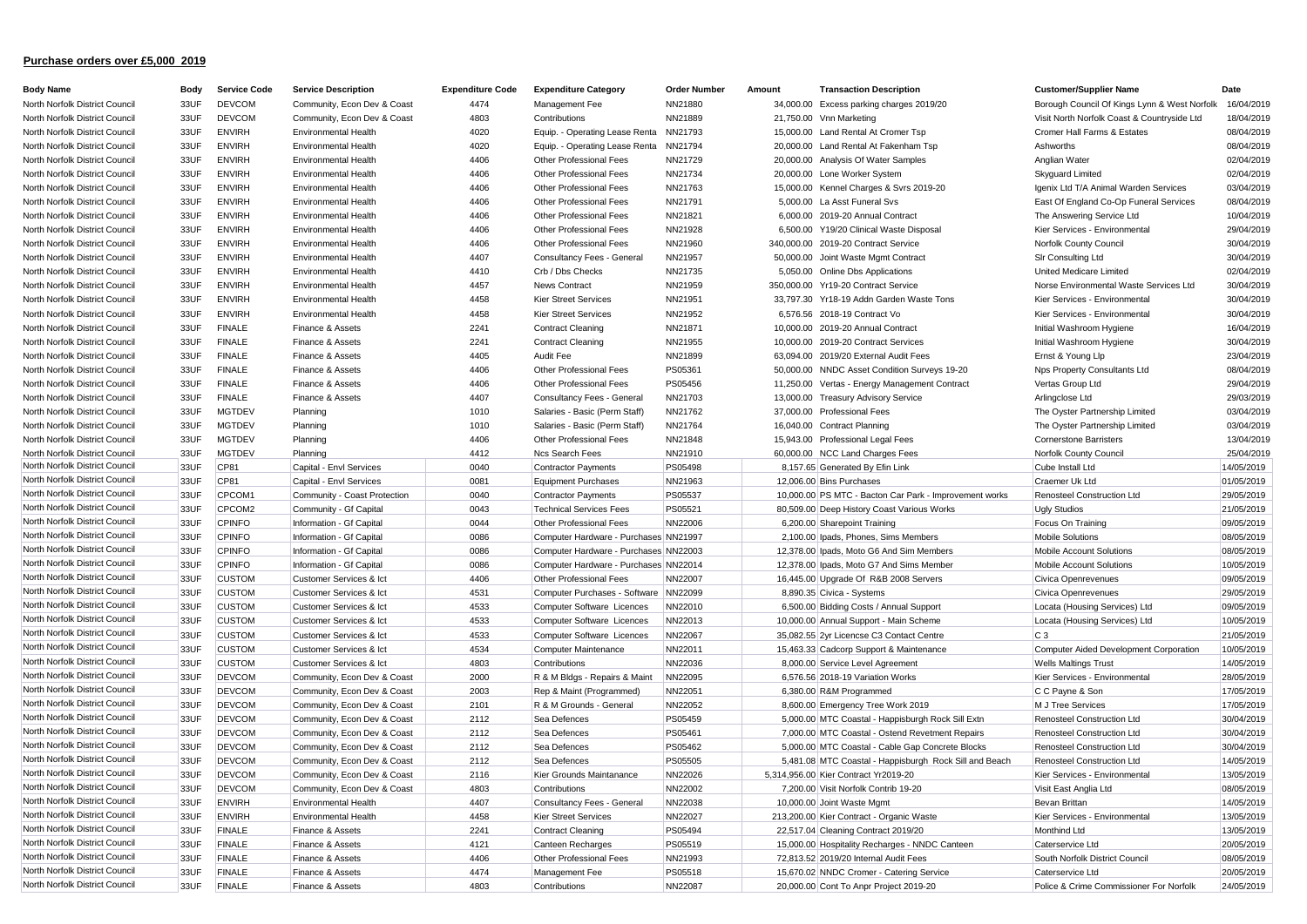| <b>Body Name</b>               | Body | <b>Service Code</b> | <b>Service Description</b>   | <b>Expenditure Code</b> | <b>Expenditure Category</b>           | <b>Order Number</b> | Amount | <b>Transaction Description</b>                         | <b>Customer/Supplier Name</b>                | Date       |
|--------------------------------|------|---------------------|------------------------------|-------------------------|---------------------------------------|---------------------|--------|--------------------------------------------------------|----------------------------------------------|------------|
| North Norfolk District Council | 33UF | <b>DEVCOM</b>       | Community, Econ Dev & Coast  | 4474                    | Management Fee                        | NN21880             |        | 34,000.00 Excess parking charges 2019/20               | Borough Council Of Kings Lynn & West Norfolk | 16/04/2019 |
| North Norfolk District Council | 33UF | <b>DEVCOM</b>       | Community, Econ Dev & Coast  | 4803                    | Contributions                         | NN21889             |        | 21,750.00 Vnn Marketing                                | Visit North Norfolk Coast & Countryside Ltd  | 18/04/2019 |
| North Norfolk District Council | 33UF | <b>ENVIRH</b>       | Environmental Health         | 4020                    | Equip. - Operating Lease Renta        | NN21793             |        | 15,000.00 Land Rental At Cromer Tsp                    | Cromer Hall Farms & Estates                  | 08/04/2019 |
| North Norfolk District Council | 33UF | <b>ENVIRH</b>       | Environmental Health         | 4020                    | Equip. - Operating Lease Renta        | NN21794             |        | 20,000.00 Land Rental At Fakenham Tsp                  | Ashworths                                    | 08/04/2019 |
| North Norfolk District Council | 33UF | <b>ENVIRH</b>       | Environmental Health         | 4406                    | Other Professional Fees               | NN21729             |        | 20,000.00 Analysis Of Water Samples                    | Anglian Water                                | 02/04/2019 |
| North Norfolk District Council | 33UF | <b>ENVIRH</b>       | <b>Environmental Health</b>  | 4406                    | Other Professional Fees               | NN21734             |        | 20,000.00 Lone Worker System                           | Skyguard Limited                             | 02/04/2019 |
| North Norfolk District Council | 33UF | <b>ENVIRH</b>       | <b>Environmental Health</b>  | 4406                    | Other Professional Fees               | NN21763             |        | 15,000.00 Kennel Charges & Svrs 2019-20                | Igenix Ltd T/A Animal Warden Services        | 03/04/2019 |
| North Norfolk District Council | 33UF | <b>ENVIRH</b>       | <b>Environmental Health</b>  | 4406                    | Other Professional Fees               | NN21791             |        | 5,000.00 La Asst Funeral Svs                           | East Of England Co-Op Funeral Services       | 08/04/2019 |
| North Norfolk District Council | 33UF | <b>ENVIRH</b>       | <b>Environmental Health</b>  | 4406                    | Other Professional Fees               | NN21821             |        | 6,000.00 2019-20 Annual Contract                       | The Answering Service Ltd                    | 10/04/2019 |
| North Norfolk District Council | 33UF | <b>ENVIRH</b>       | Environmental Health         | 4406                    | Other Professional Fees               | NN21928             |        | 6,500.00 Y19/20 Clinical Waste Disposal                | Kier Services - Environmental                | 29/04/2019 |
| North Norfolk District Council | 33UF | <b>ENVIRH</b>       | Environmental Health         | 4406                    | Other Professional Fees               | NN21960             |        | 340,000.00 2019-20 Contract Service                    | Norfolk County Council                       | 30/04/2019 |
| North Norfolk District Council | 33UF | <b>ENVIRH</b>       | Environmental Health         | 4407                    | Consultancy Fees - General            | NN21957             |        | 50,000.00 Joint Waste Mgmt Contract                    | Sir Consulting Ltd                           | 30/04/2019 |
| North Norfolk District Council | 33UF | <b>ENVIRH</b>       | <b>Environmental Health</b>  | 4410                    | Crb / Dbs Checks                      | NN21735             |        | 5,050.00 Online Dbs Applications                       | United Medicare Limited                      | 02/04/2019 |
| North Norfolk District Council | 33UF | <b>ENVIRH</b>       | <b>Environmental Health</b>  | 4457                    | <b>News Contract</b>                  | NN21959             |        | 350,000.00 Yr19-20 Contract Service                    | Norse Environmental Waste Services Ltd       | 30/04/2019 |
| North Norfolk District Council | 33UF | <b>ENVIRH</b>       | <b>Environmental Health</b>  | 4458                    | <b>Kier Street Services</b>           | NN21951             |        | 33,797.30 Yr18-19 Addn Garden Waste Tons               | Kier Services - Environmental                | 30/04/2019 |
| North Norfolk District Council | 33UF | <b>ENVIRH</b>       | Environmental Health         | 4458                    | <b>Kier Street Services</b>           | NN21952             |        | 6,576.56 2018-19 Contract Vo                           | Kier Services - Environmental                | 30/04/2019 |
| North Norfolk District Council | 33UF | <b>FINALE</b>       | Finance & Assets             | 2241                    | <b>Contract Cleaning</b>              | NN21871             |        | 10,000.00 2019-20 Annual Contract                      | Initial Washroom Hygiene                     | 16/04/2019 |
| North Norfolk District Council | 33UF | <b>FINALE</b>       | Finance & Assets             | 2241                    | <b>Contract Cleaning</b>              | NN21955             |        | 10,000.00 2019-20 Contract Services                    | Initial Washroom Hygiene                     | 30/04/2019 |
| North Norfolk District Council | 33UF | <b>FINALE</b>       | Finance & Assets             | 4405                    | Audit Fee                             | NN21899             |        | 63,094.00 2019/20 External Audit Fees                  | Ernst & Young Llp                            | 23/04/2019 |
| North Norfolk District Council | 33UF | <b>FINALE</b>       | Finance & Assets             | 4406                    | Other Professional Fees               | PS05361             |        | 50,000.00 NNDC Asset Condition Surveys 19-20           | Nps Property Consultants Ltd                 | 08/04/2019 |
| North Norfolk District Council | 33UF | <b>FINALE</b>       | Finance & Assets             | 4406                    | Other Professional Fees               | PS05456             |        | 11,250.00 Vertas - Energy Management Contract          | Vertas Group Ltd                             | 29/04/2019 |
| North Norfolk District Council | 33UF | <b>FINALE</b>       | Finance & Assets             | 4407                    | Consultancy Fees - General            | NN21703             |        | 13,000.00 Treasury Advisory Service                    | Arlingclose Ltd                              | 29/03/2019 |
| North Norfolk District Council | 33UF | <b>MGTDEV</b>       | Planning                     | 1010                    | Salaries - Basic (Perm Staff)         | NN21762             |        | 37,000.00 Professional Fees                            | The Oyster Partnership Limited               | 03/04/2019 |
| North Norfolk District Council | 33UF | <b>MGTDEV</b>       | Planning                     | 1010                    | Salaries - Basic (Perm Staff)         | NN21764             |        | 16,040.00 Contract Planning                            | The Oyster Partnership Limited               | 03/04/2019 |
| North Norfolk District Council | 33UF | <b>MGTDEV</b>       | Planning                     | 4406                    | Other Professional Fees               | NN21848             |        | 15,943.00 Professional Legal Fees                      | <b>Cornerstone Barristers</b>                | 13/04/2019 |
| North Norfolk District Council | 33UF | <b>MGTDEV</b>       |                              | 4412                    | Ncs Search Fees                       |                     |        | 60,000.00 NCC Land Charges Fees                        |                                              | 25/04/2019 |
| North Norfolk District Council |      |                     | Planning                     | 0040                    |                                       | NN21910             |        |                                                        | Norfolk County Council                       |            |
| North Norfolk District Council | 33UF | <b>CP81</b>         | Capital - Envl Services      |                         | Contractor Payments                   | PS05498             |        | 8,157.65 Generated By Efin Link                        | Cube Install Ltd                             | 14/05/2019 |
| North Norfolk District Council | 33UF | CP81                | Capital - Envl Services      | 0081                    | <b>Equipment Purchases</b>            | NN21963             |        | 12,006.00 Bins Purchases                               | Craemer Uk Ltd                               | 01/05/2019 |
| North Norfolk District Council | 33UF | CPCOM1              | Community - Coast Protection | 0040                    | Contractor Payments                   | PS05537             |        | 10,000.00 PS MTC - Bacton Car Park - Improvement works | Renosteel Construction Ltd                   | 29/05/2019 |
| North Norfolk District Council | 33UF | CPCOM2              | Community - Gf Capital       | 0043                    | <b>Technical Services Fees</b>        | PS05521             |        | 80,509.00 Deep History Coast Various Works             | <b>Ugly Studios</b>                          | 21/05/2019 |
|                                | 33UF | <b>CPINFO</b>       | Information - Gf Capital     | 0044                    | Other Professional Fees               | NN22006             |        | 6,200.00 Sharepoint Training                           | Focus On Training                            | 09/05/2019 |
| North Norfolk District Council | 33UF | <b>CPINFO</b>       | Information - Gf Capital     | 0086                    | Computer Hardware - Purchases NN21997 |                     |        | 2,100.00 Ipads, Phones, Sims Members                   | <b>Mobile Solutions</b>                      | 08/05/2019 |
| North Norfolk District Council | 33UF | <b>CPINFO</b>       | Information - Gf Capital     | 0086                    | Computer Hardware - Purchases NN22003 |                     |        | 12,378.00 Ipads, Moto G6 And Sim Members               | Mobile Account Solutions                     | 08/05/2019 |
| North Norfolk District Council | 33UF | <b>CPINFO</b>       | Information - Gf Capital     | 0086                    | Computer Hardware - Purchases NN22014 |                     |        | 12,378.00 Ipads, Moto G7 And Sims Member               | Mobile Account Solutions                     | 10/05/2019 |
| North Norfolk District Council | 33UF | <b>CUSTOM</b>       | Customer Services & Ict      | 4406                    | Other Professional Fees               | NN22007             |        | 16,445.00 Upgrade Of R&B 2008 Servers                  | Civica Openrevenues                          | 09/05/2019 |
| North Norfolk District Council | 33UF | <b>CUSTOM</b>       | Customer Services & Ict      | 4531                    | Computer Purchases - Software         | NN22099             |        | 8,890.35 Civica - Systems                              | Civica Openrevenues                          | 29/05/2019 |
| North Norfolk District Council | 33UF | <b>CUSTOM</b>       | Customer Services & Ict      | 4533                    | Computer Software Licences            | NN22010             |        | 6,500.00 Bidding Costs / Annual Support                | Locata (Housing Services) Ltd                | 09/05/2019 |
| North Norfolk District Council | 33UF | <b>CUSTOM</b>       | Customer Services & Ict      | 4533                    | Computer Software Licences            | NN22013             |        | 10,000.00 Annual Support - Main Scheme                 | Locata (Housing Services) Ltd                | 10/05/2019 |
| North Norfolk District Council | 33UF | <b>CUSTOM</b>       | Customer Services & Ict      | 4533                    | Computer Software Licences            | NN22067             |        | 35,082.55 2yr Licencse C3 Contact Centre               | $C_3$                                        | 21/05/2019 |
| North Norfolk District Council | 33UF | <b>CUSTOM</b>       | Customer Services & Ict      | 4534                    | Computer Maintenance                  | NN22011             |        | 15,463.33 Cadcorp Support & Maintenance                | Computer Aided Development Corporation       | 10/05/2019 |
| North Norfolk District Council | 33UF | <b>CUSTOM</b>       | Customer Services & Ict      | 4803                    | Contributions                         | NN22036             |        | 8,000.00 Service Level Agreement                       | <b>Wells Maltings Trust</b>                  | 14/05/2019 |
| North Norfolk District Council | 33UF | <b>DEVCOM</b>       | Community, Econ Dev & Coast  | 2000                    | R & M Bldgs - Repairs & Maint         | NN22095             |        | 6,576.56 2018-19 Variation Works                       | Kier Services - Environmental                | 28/05/2019 |
| North Norfolk District Council | 33UF | <b>DEVCOM</b>       | Community, Econ Dev & Coast  | 2003                    | Rep & Maint (Programmed)              | NN22051             |        | 6,380.00 R&M Programmed                                | C C Payne & Son                              | 17/05/2019 |
| North Norfolk District Council | 33UF | <b>DEVCOM</b>       | Community, Econ Dev & Coast  | 2101                    | R & M Grounds - General               | NN22052             |        | 8,600.00 Emergency Tree Work 2019                      | M J Tree Services                            | 17/05/2019 |
| North Norfolk District Council | 33UF | <b>DEVCOM</b>       | Community, Econ Dev & Coast  | 2112                    | Sea Defences                          | PS05459             |        | 5,000.00 MTC Coastal - Happisburgh Rock Sill Extn      | Renosteel Construction Ltd                   | 30/04/2019 |
| North Norfolk District Council | 33UF | <b>DEVCOM</b>       | Community, Econ Dev & Coast  | 2112                    | Sea Defences                          | PS05461             |        | 7,000.00 MTC Coastal - Ostend Revetment Repairs        | Renosteel Construction Ltd                   | 30/04/2019 |
| North Norfolk District Council | 33UF | <b>DEVCOM</b>       | Community, Econ Dev & Coast  | 2112                    | Sea Defences                          | PS05462             |        | 5,000.00 MTC Coastal - Cable Gap Concrete Blocks       | Renosteel Construction Ltd                   | 30/04/2019 |
| North Norfolk District Council | 33UF | <b>DEVCOM</b>       | Community, Econ Dev & Coast  | 2112                    | Sea Defences                          | PS05505             |        | 5,481.08 MTC Coastal - Happisburgh Rock Sill and Beach | Renosteel Construction Ltd                   | 14/05/2019 |
| North Norfolk District Council | 33UF | <b>DEVCOM</b>       | Community, Econ Dev & Coast  | 2116                    | Kier Grounds Maintanance              | NN22026             |        | 5,314,956.00 Kier Contract Yr2019-20                   | Kier Services - Environmental                | 13/05/2019 |
| North Norfolk District Council | 33UF | <b>DEVCOM</b>       | Community, Econ Dev & Coast  | 4803                    | Contributions                         | NN22002             |        | 7,200.00 Visit Norfolk Contrib 19-20                   | Visit East Anglia Ltd                        | 08/05/2019 |
| North Norfolk District Council | 33UF | <b>ENVIRH</b>       | Environmental Health         | 4407                    | Consultancy Fees - General            | NN22038             |        | 10,000.00 Joint Waste Mgmt                             | Bevan Brittan                                | 14/05/2019 |
| North Norfolk District Council | 33UF | <b>ENVIRH</b>       | <b>Environmental Health</b>  | 4458                    | <b>Kier Street Services</b>           | <b>NN22027</b>      |        | 213,200.00 Kier Contract - Organic Waste               | Kier Services - Environmental                | 13/05/2019 |
| North Norfolk District Council | 33UF | <b>FINALE</b>       | Finance & Assets             | 2241                    | Contract Cleaning                     | PS05494             |        | 22,517.04 Cleaning Contract 2019/20                    | Monthind Ltd                                 | 13/05/2019 |
| North Norfolk District Council | 33UF | <b>FINALE</b>       | Finance & Assets             | 4121                    | Canteen Recharges                     | PS05519             |        | 15,000.00 Hospitality Recharges - NNDC Canteen         | Caterservice Ltd                             | 20/05/2019 |
| North Norfolk District Council | 33UF | <b>FINALE</b>       | Finance & Assets             | 4406                    | Other Professional Fees               | NN21993             |        | 72,813.52 2019/20 Internal Audit Fees                  | South Norfolk District Council               | 08/05/2019 |
| North Norfolk District Council | 33UF | <b>FINALE</b>       |                              | 4474                    |                                       |                     |        |                                                        | Caterservice Ltd                             | 20/05/2019 |
| North Norfolk District Council | 33UF | <b>FINALE</b>       | Finance & Assets             | 4803                    | Management Fee                        | PS05518             |        | 15,670.02 NNDC Cromer - Catering Service               |                                              |            |
|                                |      |                     | Finance & Assets             |                         | Contributions                         | NN22087             |        | 20,000.00 Cont To Anpr Project 2019-20                 | Police & Crime Commissioner For Norfolk      | 24/05/2019 |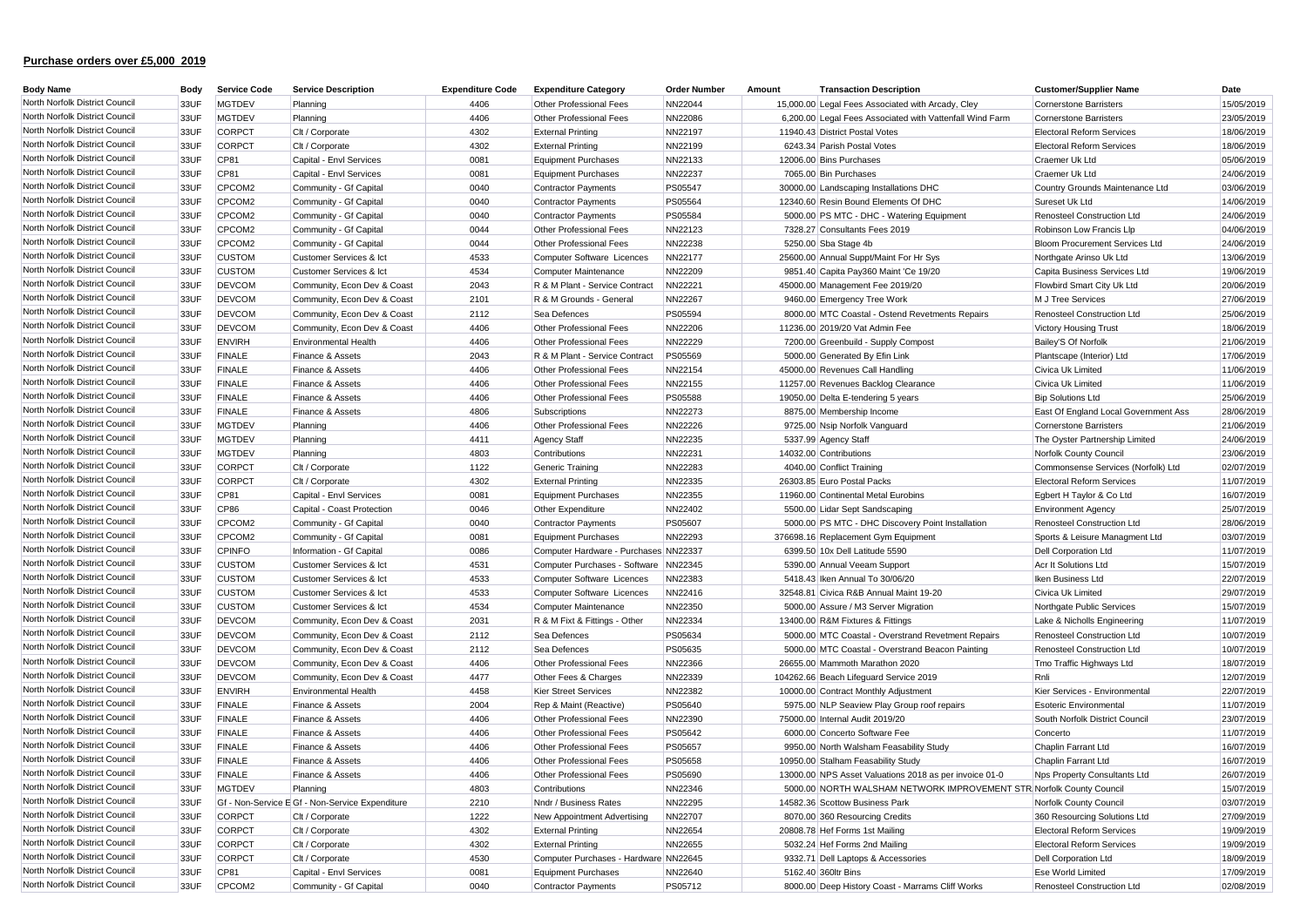| <b>Body Name</b>               | Body | <b>Service Code</b> | <b>Service Description</b>                      | <b>Expenditure Code</b> | <b>Expenditure Category</b>           | <b>Order Number</b> | Amount | <b>Transaction Description</b>                                       | <b>Customer/Supplier Name</b>         | Date       |
|--------------------------------|------|---------------------|-------------------------------------------------|-------------------------|---------------------------------------|---------------------|--------|----------------------------------------------------------------------|---------------------------------------|------------|
| North Norfolk District Council | 33UF | <b>MGTDEV</b>       | Planning                                        | 4406                    | <b>Other Professional Fees</b>        | NN22044             |        | 15,000.00 Legal Fees Associated with Arcady, Cley                    | <b>Cornerstone Barristers</b>         | 15/05/2019 |
| North Norfolk District Council | 33UF | <b>MGTDEV</b>       | Planning                                        | 4406                    | Other Professional Fees               | NN22086             |        | 6,200.00 Legal Fees Associated with Vattenfall Wind Farm             | <b>Cornerstone Barristers</b>         | 23/05/2019 |
| North Norfolk District Council | 33UF | CORPCT              | Clt / Corporate                                 | 4302                    | <b>External Printing</b>              | NN22197             |        | 11940.43 District Postal Votes                                       | <b>Electoral Reform Services</b>      | 18/06/2019 |
| North Norfolk District Council | 33UF | <b>CORPCT</b>       | Clt / Corporate                                 | 4302                    | <b>External Printing</b>              | NN22199             |        | 6243.34 Parish Postal Votes                                          | <b>Electoral Reform Services</b>      | 18/06/2019 |
| North Norfolk District Council | 33UF | CP81                | Capital - Envl Services                         | 0081                    | <b>Equipment Purchases</b>            | NN22133             |        | 12006.00 Bins Purchases                                              | Craemer Uk Ltd                        | 05/06/2019 |
| North Norfolk District Council | 33UF | CP81                | Capital - Envl Services                         | 0081                    | <b>Equipment Purchases</b>            | NN22237             |        | 7065.00 Bin Purchases                                                | Craemer Uk Ltd                        | 24/06/2019 |
| North Norfolk District Council | 33UF | CPCOM2              | Community - Gf Capital                          | 0040                    | <b>Contractor Payments</b>            | <b>PS05547</b>      |        | 30000.00 Landscaping Installations DHC                               | Country Grounds Maintenance Ltd       | 03/06/2019 |
| North Norfolk District Council | 33UF | CPCOM2              | Community - Gf Capital                          | 0040                    | <b>Contractor Payments</b>            | <b>PS05564</b>      |        | 12340.60 Resin Bound Elements Of DHC                                 | Sureset Uk Ltd                        | 14/06/2019 |
| North Norfolk District Council | 33UF | CPCOM2              | Community - Gf Capital                          | 0040                    | <b>Contractor Payments</b>            | PS05584             |        | 5000.00 PS MTC - DHC - Watering Equipment                            | Renosteel Construction Ltd            | 24/06/2019 |
| North Norfolk District Council | 33UF | CPCOM2              | Community - Gf Capital                          | 0044                    | Other Professional Fees               | NN22123             |        | 7328.27 Consultants Fees 2019                                        | Robinson Low Francis Llp              | 04/06/2019 |
| North Norfolk District Council | 33UF | CPCOM2              | Community - Gf Capital                          | 0044                    | <b>Other Professional Fees</b>        | NN22238             |        | 5250.00 Sba Stage 4b                                                 | <b>Bloom Procurement Services Ltd</b> | 24/06/2019 |
| North Norfolk District Council | 33UF | <b>CUSTOM</b>       | Customer Services & Ict                         | 4533                    | Computer Software Licences            | NN22177             |        | 25600.00 Annual Suppt/Maint For Hr Sys                               | Northgate Arinso Uk Ltd               | 13/06/2019 |
| North Norfolk District Council | 33UF | <b>CUSTOM</b>       | Customer Services & Ict                         | 4534                    | <b>Computer Maintenance</b>           | NN22209             |        | 9851.40 Capita Pay360 Maint 'Ce 19/20                                | Capita Business Services Ltd          | 19/06/2019 |
| North Norfolk District Council | 33UF | <b>DEVCOM</b>       | Community, Econ Dev & Coast                     | 2043                    | R & M Plant - Service Contract        | NN22221             |        | 45000.00 Management Fee 2019/20                                      | Flowbird Smart City Uk Ltd            | 20/06/2019 |
| North Norfolk District Council | 33UF | <b>DEVCOM</b>       | Community, Econ Dev & Coast                     | 2101                    | R & M Grounds - General               | NN22267             |        | 9460.00 Emergency Tree Work                                          | M J Tree Services                     | 27/06/2019 |
| North Norfolk District Council | 33UF | <b>DEVCOM</b>       | Community, Econ Dev & Coast                     | 2112                    | Sea Defences                          | <b>PS05594</b>      |        | 8000.00 MTC Coastal - Ostend Revetments Repairs                      | Renosteel Construction Ltd            | 25/06/2019 |
| North Norfolk District Council | 33UF | <b>DEVCOM</b>       | Community, Econ Dev & Coast                     | 4406                    | Other Professional Fees               | <b>NN22206</b>      |        | 11236.00 2019/20 Vat Admin Fee                                       | <b>Victory Housing Trust</b>          | 18/06/2019 |
| North Norfolk District Council | 33UF | <b>ENVIRH</b>       | <b>Environmental Health</b>                     | 4406                    | Other Professional Fees               | <b>NN22229</b>      |        | 7200.00 Greenbuild - Supply Compost                                  | Bailey'S Of Norfolk                   | 21/06/2019 |
| North Norfolk District Council | 33UF | <b>FINALE</b>       | Finance & Assets                                | 2043                    | R & M Plant - Service Contract        | PS05569             |        | 5000.00 Generated By Efin Link                                       | Plantscape (Interior) Ltd             | 17/06/2019 |
| North Norfolk District Council | 33UF | <b>FINALE</b>       | Finance & Assets                                | 4406                    | Other Professional Fees               | NN22154             |        | 45000.00 Revenues Call Handling                                      | Civica Uk Limited                     | 11/06/2019 |
| North Norfolk District Council | 33UF | <b>FINALE</b>       | Finance & Assets                                | 4406                    | <b>Other Professional Fees</b>        | NN22155             |        | 11257.00 Revenues Backlog Clearance                                  | Civica Uk Limited                     | 11/06/2019 |
| North Norfolk District Council | 33UF | <b>FINALE</b>       | Finance & Assets                                | 4406                    | <b>Other Professional Fees</b>        | PS05588             |        | 19050.00 Delta E-tendering 5 years                                   | <b>Bip Solutions Ltd</b>              | 25/06/2019 |
| North Norfolk District Council | 33UF | <b>FINALE</b>       | Finance & Assets                                | 4806                    | Subscriptions                         | NN22273             |        | 8875.00 Membership Income                                            | East Of England Local Government Ass  | 28/06/2019 |
| North Norfolk District Council | 33UF | <b>MGTDEV</b>       | Planning                                        | 4406                    | Other Professional Fees               | NN22226             |        | 9725.00 Nsip Norfolk Vanguard                                        | <b>Cornerstone Barristers</b>         | 21/06/2019 |
| North Norfolk District Council | 33UF | <b>MGTDEV</b>       | Planning                                        | 4411                    | <b>Agency Staff</b>                   | NN22235             |        | 5337.99 Agency Staff                                                 | The Oyster Partnership Limited        | 24/06/2019 |
| North Norfolk District Council | 33UF | <b>MGTDEV</b>       | Planning                                        | 4803                    | Contributions                         | NN22231             |        | 14032.00 Contributions                                               | Norfolk County Council                | 23/06/2019 |
| North Norfolk District Council | 33UF | <b>CORPCT</b>       | Clt / Corporate                                 | 1122                    | Generic Training                      | NN22283             |        | 4040.00 Conflict Training                                            | Commonsense Services (Norfolk) Ltd    | 02/07/2019 |
| North Norfolk District Council | 33UF | <b>CORPCT</b>       | Clt / Corporate                                 | 4302                    | <b>External Printing</b>              | NN22335             |        | 26303.85 Euro Postal Packs                                           | <b>Electoral Reform Services</b>      | 11/07/2019 |
| North Norfolk District Council | 33UF | CP81                | Capital - Envl Services                         | 0081                    | <b>Equipment Purchases</b>            | NN22355             |        | 11960.00 Continental Metal Eurobins                                  | Egbert H Taylor & Co Ltd              | 16/07/2019 |
| North Norfolk District Council | 33UF | <b>CP86</b>         | Capital - Coast Protection                      | 0046                    | Other Expenditure                     | NN22402             |        | 5500.00 Lidar Sept Sandscaping                                       | <b>Environment Agency</b>             | 25/07/2019 |
| North Norfolk District Council | 33UF | CPCOM2              | Community - Gf Capital                          | 0040                    | <b>Contractor Payments</b>            | PS05607             |        | 5000.00 PS MTC - DHC Discovery Point Installation                    | <b>Renosteel Construction Ltd</b>     | 28/06/2019 |
| North Norfolk District Council | 33UF | CPCOM2              | Community - Gf Capital                          | 0081                    | <b>Equipment Purchases</b>            | NN22293             |        | 376698.16 Replacement Gym Equipment                                  | Sports & Leisure Managment Ltd        | 03/07/2019 |
| North Norfolk District Council | 33UF | <b>CPINFO</b>       | Information - Gf Capital                        | 0086                    | Computer Hardware - Purchases NN22337 |                     |        | 6399.50 10x Dell Latitude 5590                                       | <b>Dell Corporation Ltd</b>           | 11/07/2019 |
| North Norfolk District Council | 33UF | <b>CUSTOM</b>       | Customer Services & Ict                         | 4531                    | Computer Purchases - Software         | NN22345             |        | 5390.00 Annual Veeam Support                                         | Acr It Solutions Ltd                  | 15/07/2019 |
| North Norfolk District Council | 33UF | <b>CUSTOM</b>       | Customer Services & Ict                         | 4533                    | Computer Software Licences            | NN22383             |        | 5418.43 Iken Annual To 30/06/20                                      | Iken Business Ltd                     | 22/07/2019 |
| North Norfolk District Council | 33UF | <b>CUSTOM</b>       | Customer Services & Ict                         | 4533                    | Computer Software Licences            | NN22416             |        | 32548.81 Civica R&B Annual Maint 19-20                               | Civica Uk Limited                     | 29/07/2019 |
| North Norfolk District Council | 33UF | <b>CUSTOM</b>       | Customer Services & Ict                         | 4534                    | <b>Computer Maintenance</b>           | NN22350             |        | 5000.00 Assure / M3 Server Migration                                 | Northgate Public Services             | 15/07/2019 |
| North Norfolk District Council | 33UF | <b>DEVCOM</b>       | Community, Econ Dev & Coast                     | 2031                    | R & M Fixt & Fittings - Other         | NN22334             |        | 13400.00 R&M Fixtures & Fittings                                     | Lake & Nicholls Engineering           | 11/07/2019 |
| North Norfolk District Council | 33UF | <b>DEVCOM</b>       | Community, Econ Dev & Coast                     | 2112                    | Sea Defences                          | PS05634             |        | 5000.00 MTC Coastal - Overstrand Revetment Repairs                   | <b>Renosteel Construction Ltd</b>     | 10/07/2019 |
| North Norfolk District Council | 33UF | <b>DEVCOM</b>       | Community, Econ Dev & Coast                     | 2112                    | Sea Defences                          | PS05635             |        | 5000.00 MTC Coastal - Overstrand Beacon Painting                     | <b>Renosteel Construction Ltd</b>     | 10/07/2019 |
| North Norfolk District Council | 33UF | <b>DEVCOM</b>       | Community, Econ Dev & Coast                     | 4406                    | Other Professional Fees               | NN22366             |        | 26655.00 Mammoth Marathon 2020                                       | Tmo Traffic Highways Ltd              | 18/07/2019 |
| North Norfolk District Council | 33UF | <b>DEVCOM</b>       | Community, Econ Dev & Coast                     | 4477                    | Other Fees & Charges                  | NN22339             |        | 104262.66 Beach Lifeguard Service 2019                               | Rnli                                  | 12/07/2019 |
| North Norfolk District Council | 33UF | <b>ENVIRH</b>       | <b>Environmental Health</b>                     | 4458                    | <b>Kier Street Services</b>           | NN22382             |        | 10000.00 Contract Monthly Adjustment                                 | Kier Services - Environmental         | 22/07/2019 |
| North Norfolk District Council | 33UF | <b>FINALE</b>       | Finance & Assets                                | 2004                    | Rep & Maint (Reactive)                | PS05640             |        | 5975.00 NLP Seaview Play Group roof repairs                          | Esoteric Environmenta                 | 11/07/2019 |
| North Norfolk District Council | 33UF | <b>FINALE</b>       | Finance & Assets                                | 4406                    | Other Professional Fees               | NN22390             |        | 75000.00 Internal Audit 2019/20                                      | South Norfolk District Council        | 23/07/2019 |
| North Norfolk District Council | 33UF | <b>FINALE</b>       | Finance & Assets                                | 4406                    | Other Professional Fees               | PS05642             |        | 6000.00 Concerto Software Fee                                        | Concerto                              | 11/07/2019 |
| North Norfolk District Council | 33UF | <b>FINALE</b>       | Finance & Assets                                | 4406                    | Other Professional Fees               | <b>PS05657</b>      |        | 9950.00 North Walsham Feasability Study                              | Chaplin Farrant Ltd                   | 16/07/2019 |
| North Norfolk District Council | 33UF | <b>FINALE</b>       | Finance & Assets                                | 4406                    | Other Professional Fees               | <b>PS05658</b>      |        | 10950.00 Stalham Feasability Study                                   | Chaplin Farrant Ltd                   | 16/07/2019 |
| North Norfolk District Council | 33UF | <b>FINALE</b>       | Finance & Assets                                | 4406                    | <b>Other Professional Fees</b>        | PS05690             |        | 13000.00 NPS Asset Valuations 2018 as per invoice 01-0               | Nps Property Consultants Ltd          | 26/07/2019 |
| North Norfolk District Council | 33UF | <b>MGTDEV</b>       | Planning                                        | 4803                    | Contributions                         | NN22346             |        | 5000.00 NORTH WALSHAM NETWORK IMPROVEMENT STR Norfolk County Council |                                       | 15/07/2019 |
| North Norfolk District Council | 33UF |                     | Gf - Non-Service E Gf - Non-Service Expenditure | 2210                    | Nndr / Business Rates                 | <b>NN22295</b>      |        | 14582.36 Scottow Business Park                                       | Norfolk County Council                | 03/07/2019 |
| North Norfolk District Council | 33UF | <b>CORPCT</b>       | Clt / Corporate                                 | 1222                    | New Appointment Advertising           | NN22707             |        | 8070.00 360 Resourcing Credits                                       | 360 Resourcing Solutions Ltd          | 27/09/2019 |
| North Norfolk District Council | 33UF | <b>CORPCT</b>       | Clt / Corporate                                 | 4302                    | <b>External Printing</b>              | NN22654             |        | 20808.78 Hef Forms 1st Mailing                                       | <b>Electoral Reform Services</b>      | 19/09/2019 |
| North Norfolk District Council | 33UF | <b>CORPCT</b>       | Clt / Corporate                                 | 4302                    | <b>External Printing</b>              | NN22655             |        | 5032.24 Hef Forms 2nd Mailing                                        | <b>Electoral Reform Services</b>      | 19/09/2019 |
| North Norfolk District Council | 33UF | <b>CORPCT</b>       | Clt / Corporate                                 | 4530                    | Computer Purchases - Hardware NN22645 |                     |        | 9332.71 Dell Laptops & Accessories                                   | <b>Dell Corporation Ltd</b>           | 18/09/2019 |
| North Norfolk District Council | 33UF | CP81                | Capital - Envl Services                         | 0081                    | <b>Equipment Purchases</b>            | NN22640             |        | 5162.40 360ltr Bins                                                  | Ese World Limited                     | 17/09/2019 |
| North Norfolk District Council | 33UF | CPCOM2              | Community - Gf Capital                          | 0040                    | <b>Contractor Payments</b>            | PS05712             |        | 8000.00 Deep History Coast - Marrams Cliff Works                     | Renosteel Construction Ltd            | 02/08/2019 |
|                                |      |                     |                                                 |                         |                                       |                     |        |                                                                      |                                       |            |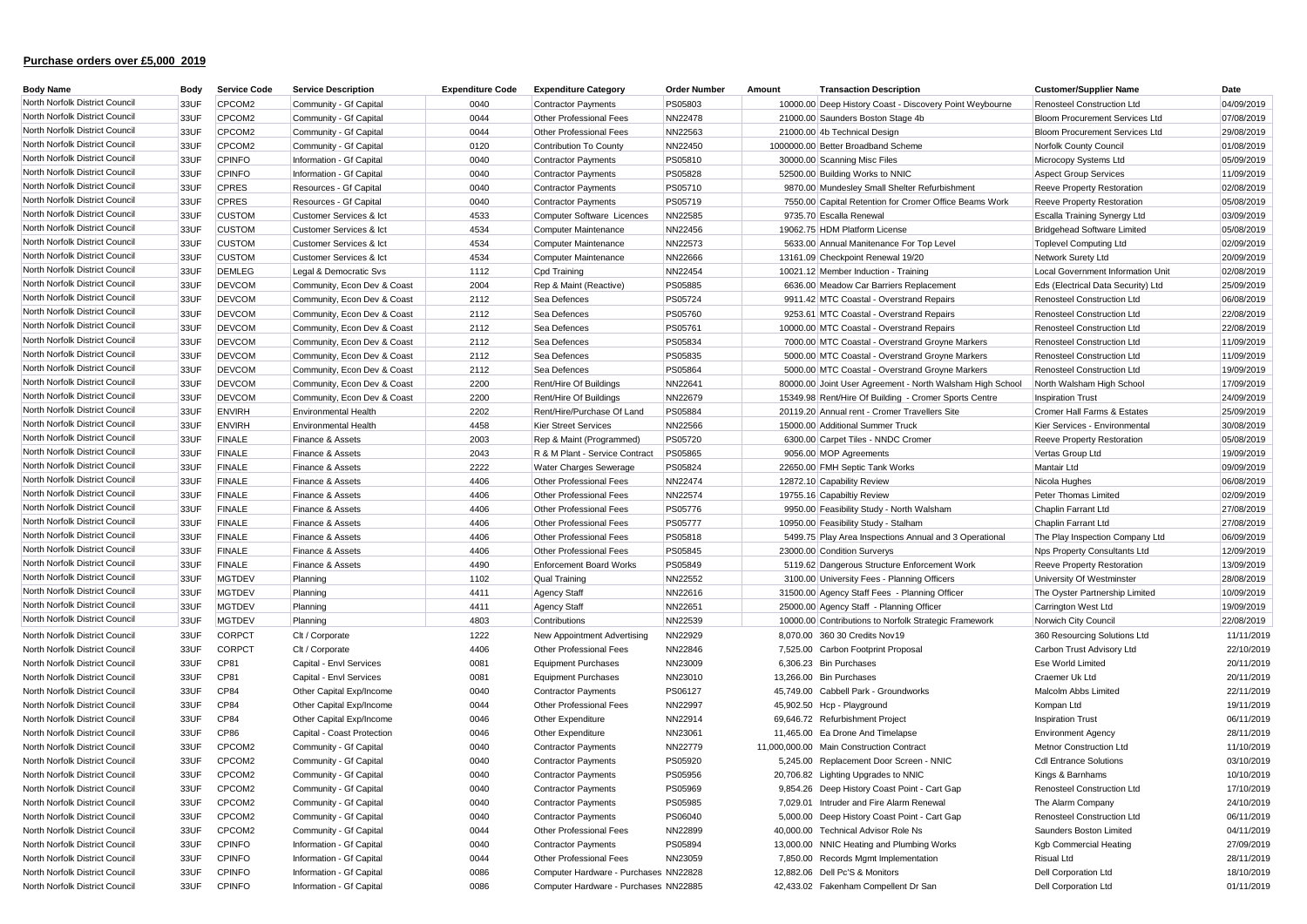| <b>Body Name</b>               | Body | <b>Service Code</b> | <b>Service Description</b>  | <b>Expenditure Code</b> | <b>Expenditure Category</b>           | <b>Order Number</b> | Amount<br><b>Transaction Description</b>                  | <b>Customer/Supplier Name</b>         | Date       |
|--------------------------------|------|---------------------|-----------------------------|-------------------------|---------------------------------------|---------------------|-----------------------------------------------------------|---------------------------------------|------------|
| North Norfolk District Council | 33UF | CPCOM2              | Community - Gf Capital      | 0040                    | <b>Contractor Payments</b>            | PS05803             | 10000.00 Deep History Coast - Discovery Point Weybourne   | <b>Renosteel Construction Ltd</b>     | 04/09/2019 |
| North Norfolk District Council | 33UF | CPCOM2              | Community - Gf Capital      | 0044                    | Other Professional Fees               | <b>NN22478</b>      | 21000.00 Saunders Boston Stage 4b                         | <b>Bloom Procurement Services Ltd</b> | 07/08/2019 |
| North Norfolk District Council | 33UF | CPCOM2              | Community - Gf Capital      | 0044                    | Other Professional Fees               | NN22563             | 21000.00 4b Technical Design                              | <b>Bloom Procurement Services Ltd</b> | 29/08/2019 |
| North Norfolk District Council | 33UF | CPCOM2              | Community - Gf Capital      | 0120                    | Contribution To County                | NN22450             | 1000000.00 Better Broadband Scheme                        | Norfolk County Council                | 01/08/2019 |
| North Norfolk District Council | 33UF | <b>CPINFO</b>       | Information - Gf Capital    | 0040                    | <b>Contractor Payments</b>            | <b>PS05810</b>      | 30000.00 Scanning Misc Files                              | Microcopy Systems Ltd                 | 05/09/2019 |
| North Norfolk District Council | 33UF | <b>CPINFO</b>       | Information - Gf Capital    | 0040                    | <b>Contractor Payments</b>            | PS05828             | 52500.00 Building Works to NNIC                           | <b>Aspect Group Services</b>          | 11/09/2019 |
| North Norfolk District Council | 33UF | <b>CPRES</b>        | Resources - Gf Capital      | 0040                    | <b>Contractor Payments</b>            | <b>PS05710</b>      | 9870.00 Mundesley Small Shelter Refurbishment             | <b>Reeve Property Restoration</b>     | 02/08/2019 |
| North Norfolk District Council | 33UF | <b>CPRES</b>        | Resources - Gf Capital      | 0040                    | <b>Contractor Payments</b>            | <b>PS05719</b>      | 7550.00 Capital Retention for Cromer Office Beams Work    | <b>Reeve Property Restoration</b>     | 05/08/2019 |
| North Norfolk District Council | 33UF | <b>CUSTOM</b>       | Customer Services & Ict     | 4533                    | Computer Software Licences            | NN22585             | 9735.70 Escalla Renewal                                   | Escalla Training Synergy Ltd          | 03/09/2019 |
| North Norfolk District Council | 33UF | <b>CUSTOM</b>       | Customer Services & Ict     | 4534                    | Computer Maintenance                  | <b>NN22456</b>      | 19062.75 HDM Platform License                             | Bridgehead Software Limited           | 05/08/2019 |
| North Norfolk District Council | 33UF | <b>CUSTOM</b>       | Customer Services & Ict     | 4534                    | Computer Maintenance                  | NN22573             | 5633.00 Annual Manitenance For Top Level                  | <b>Toplevel Computing Ltd</b>         | 02/09/2019 |
| North Norfolk District Council | 33UF | <b>CUSTOM</b>       | Customer Services & Ict     | 4534                    | Computer Maintenance                  | <b>NN22666</b>      | 13161.09 Checkpoint Renewal 19/20                         | Network Surety Ltd                    | 20/09/2019 |
| North Norfolk District Council | 33UF | <b>DEMLEG</b>       | Legal & Democratic Svs      | 1112                    | Cpd Training                          | <b>NN22454</b>      | 10021.12 Member Induction - Training                      | Local Government Information Unit     | 02/08/2019 |
| North Norfolk District Council | 33UF | <b>DEVCOM</b>       | Community, Econ Dev & Coast | 2004                    | Rep & Maint (Reactive)                | PS05885             | 6636.00 Meadow Car Barriers Replacement                   | Eds (Electrical Data Security) Ltd    | 25/09/2019 |
| North Norfolk District Council | 33UF | <b>DEVCOM</b>       | Community, Econ Dev & Coast | 2112                    | Sea Defences                          | <b>PS05724</b>      | 9911.42 MTC Coastal - Overstrand Repairs                  | Renosteel Construction Ltd            | 06/08/2019 |
| North Norfolk District Council | 33UF | <b>DEVCOM</b>       | Community, Econ Dev & Coast | 2112                    | Sea Defences                          | <b>PS05760</b>      | 9253.61 MTC Coastal - Overstrand Repairs                  | Renosteel Construction Ltd            | 22/08/2019 |
| North Norfolk District Council | 33UF | <b>DEVCOM</b>       | Community, Econ Dev & Coast | 2112                    | Sea Defences                          | PS05761             | 10000.00 MTC Coastal - Overstrand Repairs                 | Renosteel Construction Ltd            | 22/08/2019 |
| North Norfolk District Council | 33UF | <b>DEVCOM</b>       | Community, Econ Dev & Coast | 2112                    | Sea Defences                          | PS05834             | 7000.00 MTC Coastal - Overstrand Groyne Markers           | <b>Renosteel Construction Ltd</b>     | 11/09/2019 |
| North Norfolk District Council | 33UF | <b>DEVCOM</b>       | Community, Econ Dev & Coast | 2112                    | Sea Defences                          | PS05835             | 5000.00 MTC Coastal - Overstrand Groyne Markers           | Renosteel Construction Ltd            | 11/09/2019 |
| North Norfolk District Council | 33UF | <b>DEVCOM</b>       | Community, Econ Dev & Coast | 2112                    | Sea Defences                          | PS05864             | 5000.00 MTC Coastal - Overstrand Groyne Markers           | <b>Renosteel Construction Ltd</b>     | 19/09/2019 |
| North Norfolk District Council | 33UF | <b>DEVCOM</b>       | Community, Econ Dev & Coast | 2200                    | Rent/Hire Of Buildings                | NN22641             | 80000.00 Joint User Agreement - North Walsham High School | North Walsham High School             | 17/09/2019 |
| North Norfolk District Council | 33UF | <b>DEVCOM</b>       | Community, Econ Dev & Coast | 2200                    | Rent/Hire Of Buildings                | NN22679             | 15349.98 Rent/Hire Of Building - Cromer Sports Centre     | <b>Inspiration Trust</b>              | 24/09/2019 |
| North Norfolk District Council | 33UF | <b>ENVIRH</b>       | <b>Environmental Health</b> | 2202                    | Rent/Hire/Purchase Of Land            | <b>PS05884</b>      | 20119.20 Annual rent - Cromer Travellers Site             | Cromer Hall Farms & Estates           | 25/09/2019 |
| North Norfolk District Council | 33UF | <b>ENVIRH</b>       | <b>Environmental Health</b> | 4458                    | <b>Kier Street Services</b>           | <b>NN22566</b>      | 15000.00 Additional Summer Truck                          | Kier Services - Environmental         | 30/08/2019 |
| North Norfolk District Council | 33UF | <b>FINALE</b>       | Finance & Assets            | 2003                    | Rep & Maint (Programmed)              | <b>PS05720</b>      | 6300.00 Carpet Tiles - NNDC Cromer                        | <b>Reeve Property Restoration</b>     | 05/08/2019 |
| North Norfolk District Council | 33UF | <b>FINALE</b>       | Finance & Assets            | 2043                    | R & M Plant - Service Contract        | PS05865             | 9056.00 MOP Agreements                                    | Vertas Group Ltd                      | 19/09/2019 |
| North Norfolk District Council | 33UF | <b>FINALE</b>       | Finance & Assets            | 2222                    | <b>Water Charges Sewerage</b>         | PS05824             | 22650.00 FMH Septic Tank Works                            | Mantair Ltd                           | 09/09/2019 |
| North Norfolk District Council | 33UF | <b>FINALE</b>       | Finance & Assets            | 4406                    | Other Professional Fees               | <b>NN22474</b>      | 12872.10 Capability Review                                | Nicola Hughes                         | 06/08/2019 |
| North Norfolk District Council | 33UF | <b>FINALE</b>       | Finance & Assets            | 4406                    | Other Professional Fees               | <b>NN22574</b>      | 19755.16 Capabiltiy Review                                | Peter Thomas Limited                  | 02/09/2019 |
| North Norfolk District Council | 33UF | <b>FINALE</b>       | Finance & Assets            | 4406                    | Other Professional Fees               | PS05776             | 9950.00 Feasibility Study - North Walsham                 | Chaplin Farrant Ltd                   | 27/08/2019 |
| North Norfolk District Council | 33UF | <b>FINALE</b>       | Finance & Assets            | 4406                    | Other Professional Fees               | <b>PS05777</b>      | 10950.00 Feasibility Study - Stalham                      | Chaplin Farrant Ltd                   | 27/08/2019 |
| North Norfolk District Council | 33UF | <b>FINALE</b>       | Finance & Assets            | 4406                    | Other Professional Fees               | PS05818             | 5499.75 Play Area Inspections Annual and 3 Operational    | The Play Inspection Company Ltd       | 06/09/2019 |
| North Norfolk District Council | 33UF | <b>FINALE</b>       | Finance & Assets            | 4406                    | Other Professional Fees               | <b>PS05845</b>      | 23000.00 Condition Surverys                               | Nps Property Consultants Ltd          | 12/09/2019 |
| North Norfolk District Council | 33UF | <b>FINALE</b>       | Finance & Assets            | 4490                    | <b>Enforcement Board Works</b>        | PS05849             | 5119.62 Dangerous Structure Enforcement Work              | <b>Reeve Property Restoration</b>     | 13/09/2019 |
| North Norfolk District Council | 33UF | <b>MGTDEV</b>       | Planning                    | 1102                    | <b>Qual Training</b>                  | NN22552             | 3100.00 University Fees - Planning Officers               | University Of Westminster             | 28/08/2019 |
| North Norfolk District Council | 33UF | <b>MGTDEV</b>       | Planning                    | 4411                    | Agency Staff                          | NN22616             | 31500.00 Agency Staff Fees - Planning Officer             | The Oyster Partnership Limited        | 10/09/2019 |
| North Norfolk District Council | 33UF | <b>MGTDEV</b>       | Planning                    | 4411                    | Agency Staff                          | NN22651             | 25000.00 Agency Staff - Planning Officer                  | Carrington West Ltd                   | 19/09/2019 |
| North Norfolk District Council | 33UF | <b>MGTDEV</b>       | Planning                    | 4803                    | Contributions                         | NN22539             | 10000.00 Contributions to Norfolk Strategic Framework     | Norwich City Council                  | 22/08/2019 |
| North Norfolk District Council | 33UF | <b>CORPCT</b>       | Clt / Corporate             | 1222                    | New Appointment Advertising           | NN22929             | 8,070.00 360 30 Credits Nov19                             | 360 Resourcing Solutions Ltd          | 11/11/2019 |
| North Norfolk District Council | 33UF | CORPCT              | Clt / Corporate             | 4406                    | Other Professional Fees               | NN22846             | 7,525.00 Carbon Footprint Proposal                        | Carbon Trust Advisory Ltd             | 22/10/2019 |
| North Norfolk District Council | 33UF | CP81                | Capital - Envl Services     | 0081                    | Equipment Purchases                   | NN23009             | 6,306.23 Bin Purchases                                    | Ese World Limited                     | 20/11/2019 |
| North Norfolk District Council | 33UF | CP81                | Capital - Envl Services     | 0081                    | <b>Equipment Purchases</b>            | NN23010             | 13,266.00 Bin Purchases                                   | Craemer Uk Ltd                        | 20/11/2019 |
| North Norfolk District Council | 33UF | CP84                | Other Capital Exp/Income    | 0040                    | <b>Contractor Payments</b>            | PS06127             | 45.749.00 Cabbell Park - Groundworks                      | Malcolm Abbs Limited                  | 22/11/2019 |
| North Norfolk District Council | 33UF | CP84                | Other Capital Exp/Income    | 0044                    | Other Professional Fees               | NN22997             | 45,902.50 Hcp - Playground                                | Kompan Ltd                            | 19/11/2019 |
| North Norfolk District Council | 33UF | CP84                | Other Capital Exp/Income    | 0046                    | Other Expenditure                     | NN22914             | 69,646.72 Refurbishment Project                           | <b>Inspiration Trust</b>              | 06/11/2019 |
| North Norfolk District Council | 33UF | <b>CP86</b>         | Capital - Coast Protection  | 0046                    | Other Expenditure                     | NN23061             | 11,465.00 Ea Drone And Timelapse                          | <b>Environment Agency</b>             | 28/11/2019 |
| North Norfolk District Council | 33UF | CPCOM2              | Community - Gf Capital      | 0040                    | <b>Contractor Payments</b>            | NN22779             | 11,000,000.00 Main Construction Contract                  | <b>Metnor Construction Ltd</b>        | 11/10/2019 |
| North Norfolk District Council | 33UF | CPCOM2              | Community - Gf Capital      | 0040                    | <b>Contractor Payments</b>            | PS05920             | 5,245.00 Replacement Door Screen - NNIC                   | <b>Cdl Entrance Solutions</b>         | 03/10/2019 |
| North Norfolk District Council | 33UF | CPCOM2              | Community - Gf Capital      | 0040                    | <b>Contractor Payments</b>            | PS05956             | 20,706.82 Lighting Upgrades to NNIC                       | Kings & Barnhams                      | 10/10/2019 |
| North Norfolk District Council | 33UF | CPCOM2              | Community - Gf Capital      | 0040                    | <b>Contractor Payments</b>            | PS05969             | 9,854.26 Deep History Coast Point - Cart Gap              | <b>Renosteel Construction Ltd</b>     | 17/10/2019 |
| North Norfolk District Council | 33UF | CPCOM2              | Community - Gf Capital      | 0040                    | <b>Contractor Payments</b>            | PS05985             | 7,029.01 Intruder and Fire Alarm Renewal                  | The Alarm Company                     | 24/10/2019 |
| North Norfolk District Council | 33UF | CPCOM2              | Community - Gf Capital      | 0040                    | <b>Contractor Payments</b>            | PS06040             | 5,000.00 Deep History Coast Point - Cart Gap              | Renosteel Construction Ltd            | 06/11/2019 |
| North Norfolk District Council | 33UF | CPCOM2              | Community - Gf Capital      | 0044                    | Other Professional Fees               | NN22899             | 40,000.00 Technical Advisor Role Ns                       | Saunders Boston Limited               | 04/11/2019 |
| North Norfolk District Council | 33UF | <b>CPINFO</b>       | Information - Gf Capital    | 0040                    | <b>Contractor Payments</b>            | PS05894             | 13,000.00 NNIC Heating and Plumbing Works                 | <b>Kgb Commercial Heating</b>         | 27/09/2019 |
| North Norfolk District Council | 33UF | <b>CPINFO</b>       | Information - Gf Capital    | 0044                    | Other Professional Fees               | NN23059             | 7,850.00 Records Mgmt Implementation                      | Risual Ltd                            | 28/11/2019 |
| North Norfolk District Council | 33UF | <b>CPINFO</b>       | Information - Gf Capital    | 0086                    | Computer Hardware - Purchases NN22828 |                     | 12.882.06 Dell Pc'S & Monitors                            | Dell Corporation Ltd                  | 18/10/2019 |
| North Norfolk District Council | 33UF | <b>CPINFO</b>       | Information - Gf Capital    | 0086                    | Computer Hardware - Purchases NN22885 |                     | 42,433.02 Fakenham Compellent Dr San                      | <b>Dell Corporation Ltd</b>           | 01/11/2019 |